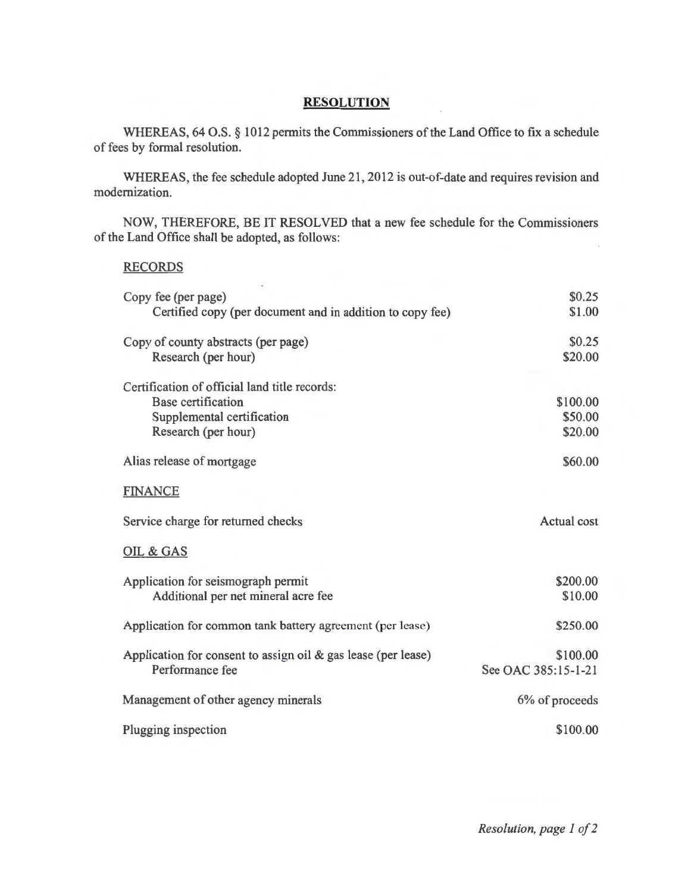## **RESOLUTION**

WHEREAS, 64 O.S. § 1012 permits the Commissioners of the Land Office to fix a schedule of fees by formal resolution.

WHEREAS, the fee schedule adopted June 21, 2012 is out-of-date and requires revision and modernization.

NOW, THEREFORE, BE IT RESOLVED that a new fee schedule for the Commissioners of the Land Office shall be adopted, as follows:

## RECORDS

| Copy fee (per page)                                              | \$0.25              |
|------------------------------------------------------------------|---------------------|
| Certified copy (per document and in addition to copy fee)        | \$1.00              |
| Copy of county abstracts (per page)                              | \$0.25              |
| Research (per hour)                                              | \$20.00             |
| Certification of official land title records:                    |                     |
| <b>Base certification</b>                                        | \$100.00            |
| Supplemental certification                                       | \$50.00             |
| Research (per hour)                                              | \$20.00             |
| Alias release of mortgage                                        | \$60.00             |
| <b>FINANCE</b>                                                   |                     |
| Service charge for returned checks                               | Actual cost         |
| OIL & GAS                                                        |                     |
| Application for seismograph permit                               | \$200.00            |
| Additional per net mineral acre fee                              | \$10.00             |
| Application for common tank battery agreement (per lease)        | \$250.00            |
| Application for consent to assign oil $\&$ gas lease (per lease) | \$100.00            |
| Performance fee                                                  | See OAC 385:15-1-21 |
| Management of other agency minerals                              | 6% of proceeds      |
| Plugging inspection                                              | \$100.00            |